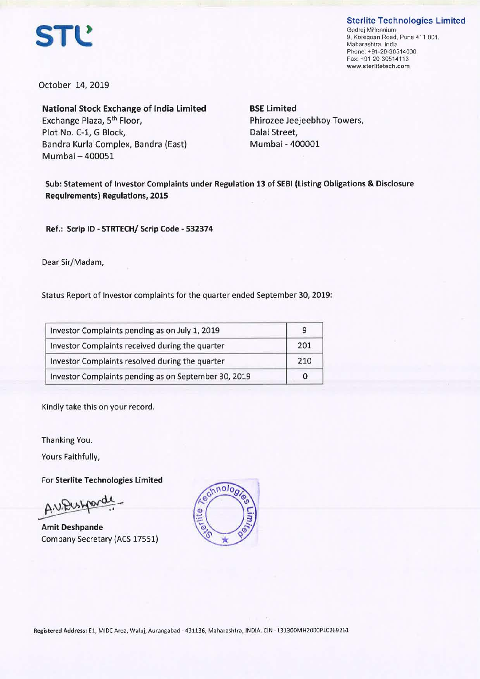**Sterlite Technologies Limited** 



Godrej Millennium, 9, Koregoan Road, Pune 411 001, Maharashtra, India Phone: +91-20-30514000 Fax: +91-20-30514113 **www.sterlitetech.com** 

October 14, 2019

**National Stock Exchange of India Limited**  Exchange Plaza, 5th Floor, Plot No. C-1, G Block, Bandra Kurla Complex, Bandra (East) Mumbai -400051

**BSE Limited**  Phirozee Jeejeebhoy Towers, Dalal Street, Mumbai - 400001

**Sub: Statement of Investor Complaints under Regulation 13 of SEBI (Listing Obligations** & **Disclosure Requirements) Regulations, 2015** 

**Ref.: Scrip ID** - **STRTECH/ Scrip Code** - **532374** 

Dear Sir/Madam,

Status Report of Investor complaints for the quarter ended September 30, 2019:

| Investor Complaints pending as on July 1, 2019       |     |  |
|------------------------------------------------------|-----|--|
| Investor Complaints received during the quarter      | 201 |  |
| Investor Complaints resolved during the quarter      | 210 |  |
| Investor Complaints pending as on September 30, 2019 |     |  |

Kindly take this on your record.

Thanking You.

Yours Faithfully,

For **Sterlite Technologies Limited** 

A.V. Dush

**Amit Deshpande**  Company Secretary (ACS 17551)

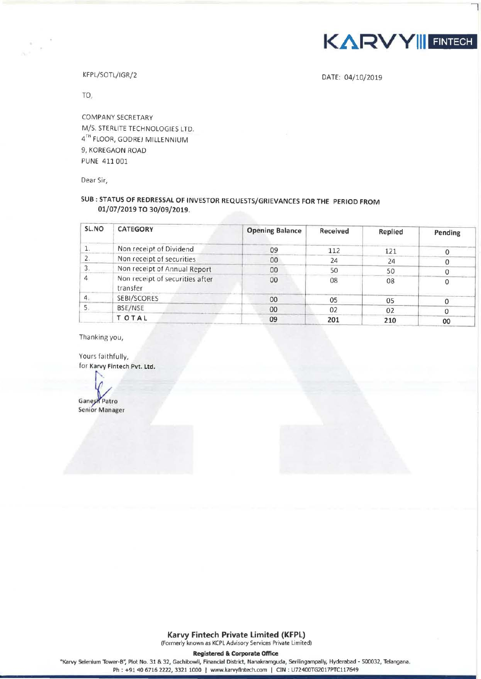

7

KFPL/SOTL/IGR/2

DATE: 04/10/2019

TO,

COMPANY SECRETARY M/S. STERLITE TECHNOLOGIES LTD. 4TH FLOOR, GODREJ MILLENNIUM 9, KOREGAON ROAD PUNE 411 001

Dear Sir,

# **SUB: STATUS OF REDRESSAL OF INVESTOR REQUESTS/GRIEVANCES FOR THE PERIOD FROM 01/07/2019 TO 30/09/2019.**

| SL.NO          | <b>CATEGORY</b>                             | <b>Opening Balance</b> | Received | Replied | Pending |
|----------------|---------------------------------------------|------------------------|----------|---------|---------|
|                | Non receipt of Dividend                     | 09                     | 112      | 121     |         |
|                | Non receipt of securities                   | $00\,$                 | 24       | 24      |         |
|                | Non receipt of Annual Report                | 00                     | 50       | 50      |         |
| 4              | Non receipt of securities after<br>transfer | 00                     | 08       | 08      |         |
| $\overline{4}$ | SEBI/SCORES                                 | 00                     | 05       | 05      |         |
|                | BSE/NSE                                     | 00                     | 02       | 02      |         |
|                | T OTAL                                      | 09                     | 201      | 210     | 00      |

Thanking you,

Yours faithfully, for Karvy Fintech **Pvt. Ltd.** 

**Ganesh Patro** Senior Manager

**Registered** & **Corporate Office** 

"Karvy Selenium Tower-B'; Plot No. 31 & 32, Gachibowli, Financial District, Nanakramguda, Serilingampally, Hyderabad • 500032, Telangana. Ph : +91 40 6716 2222, 3321 1000 | www.karvyfintech.com | CIN : U72400TG2017PTC117649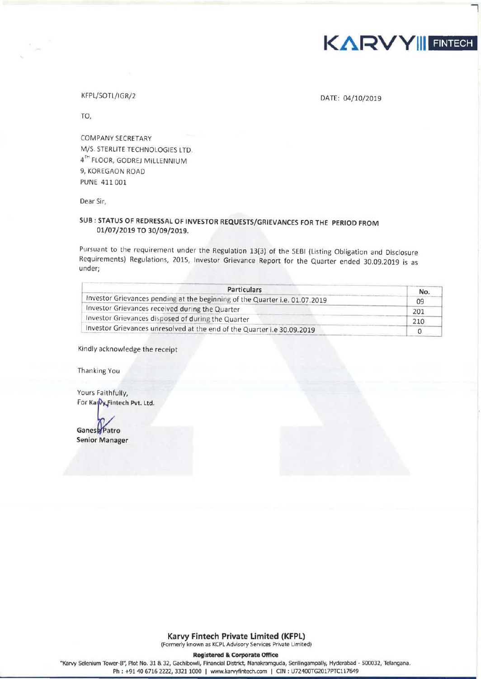

DATE: 04/10/2019

**7** 

#### KFPL/SOTL/IGR/2

TO,

COMPANY SECRETARY M/S. STERLITE TECHNOLOGIES LTD 4<sup>TH</sup> FLOOR, GODREJ MILLENNIUM 9, KOREGAON ROAD PUNE 411 001

Dear Sir,

## **SUB : STATUS OF REDRESSAL OF INVESTOR REQUESTS/GRIEVANCES FOR THE PERIOD FROM 01/07/2019 TO 30/09/2019.**

Pursuant to the requirement under the Regulation 13(3) of the SEBI (Listing Obligation and Disclosure Requirements) Regulations, 2015, Investor Grievance Report for the Quarter ended 30.09.2019 is as under;

| <b>Particulars</b>                                                          | No. |
|-----------------------------------------------------------------------------|-----|
| Investor Grievances pending at the beginning of the Quarter i.e. 01.07.2019 | 09  |
| Investor Grievances received during the Quarter                             | 201 |
| Investor Grievances disposed of during the Quarter                          | 210 |
| Investor Grievances unresolved at the end of the Quarter i.e 30.09.2019     |     |

Kindly acknowledge the receipt

Thanking You

Yours Faithfully, For Kary Fintech Pvt. Ltd.

Ganes<sup>b</sup>Patro **Senior Manager** 

**Karvy Fintech Private Limited (KFPL)** 

(Formerly known as KCPL Advisory Services Private Limited)

**Registered & Corporate Office** 

"Karvy Selenium Tower-8", Plot No. 31 & 32, Gachibowli, Financial District, Nanakramguda, Serilingampally, Hyderabad - 500032, Telangana . Ph : +91 40 6716 2222, 3321 1000 | www.karvyfintech.com | CIN : U72400TG2017PTC117649